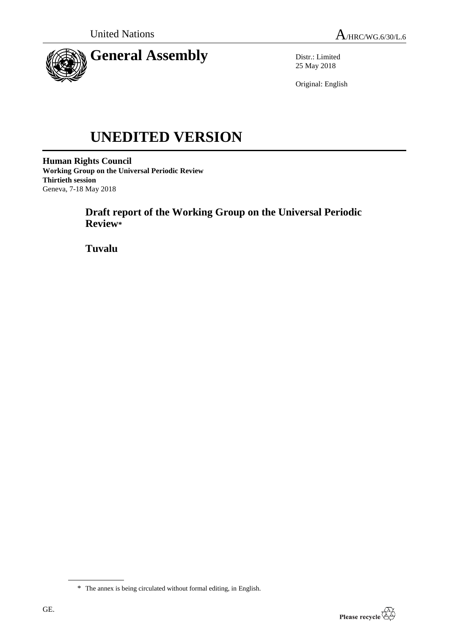

Distr.: Limited 25 May 2018

Original: English

# **UNEDITED VERSION**

**Human Rights Council Working Group on the Universal Periodic Review Thirtieth session** Geneva, 7-18 May 2018

> **Draft report of the Working Group on the Universal Periodic Review\***

**Tuvalu**



<sup>\*</sup> The annex is being circulated without formal editing, in English.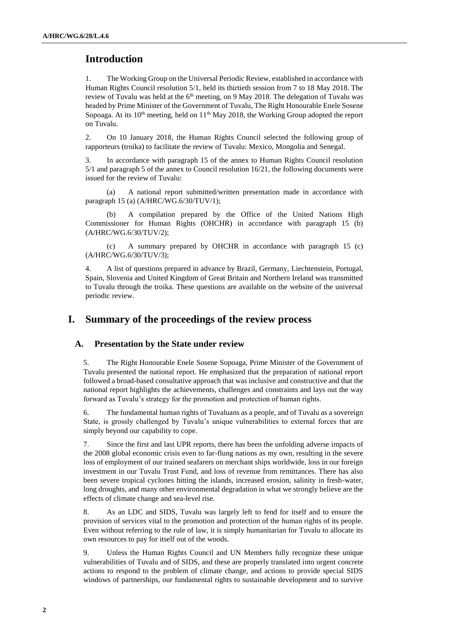# **Introduction**

1. The Working Group on the Universal Periodic Review, established in accordance with Human Rights Council resolution 5/1, held its thirtieth session from 7 to 18 May 2018. The review of Tuvalu was held at the  $6<sup>th</sup>$  meeting, on 9 May 2018. The delegation of Tuvalu was headed by Prime Minister of the Government of Tuvalu, The Right Honourable Enele Sosene Sopoaga. At its  $10<sup>th</sup>$  meeting, held on  $11<sup>th</sup>$  May 2018, the Working Group adopted the report on Tuvalu.

2. On 10 January 2018, the Human Rights Council selected the following group of rapporteurs (troika) to facilitate the review of Tuvalu: Mexico, Mongolia and Senegal.

3. In accordance with paragraph 15 of the annex to Human Rights Council resolution 5/1 and paragraph 5 of the annex to Council resolution 16/21, the following documents were issued for the review of Tuvalu:

(a) A national report submitted/written presentation made in accordance with paragraph 15 (a) (A/HRC/WG.6/30/TUV/1);

A compilation prepared by the Office of the United Nations High Commissioner for Human Rights (OHCHR) in accordance with paragraph 15 (b) (A/HRC/WG.6/30/TUV/2);

(c) A summary prepared by OHCHR in accordance with paragraph 15 (c) (A/HRC/WG.6/30/TUV/3);

4. A list of questions prepared in advance by Brazil, Germany, Liechtenstein, Portugal, Spain, Slovenia and United Kingdom of Great Britain and Northern Ireland was transmitted to Tuvalu through the troika. These questions are available on the website of the universal periodic review.

## **I. Summary of the proceedings of the review process**

#### **A. Presentation by the State under review**

5. The Right Honourable Enele Sosene Sopoaga, Prime Minister of the Government of Tuvalu presented the national report. He emphasized that the preparation of national report followed a broad-based consultative approach that was inclusive and constructive and that the national report highlights the achievements, challenges and constraints and lays out the way forward as Tuvalu's strategy for the promotion and protection of human rights.

6. The fundamental human rights of Tuvaluans as a people, and of Tuvalu as a sovereign State, is grossly challenged by Tuvalu's unique vulnerabilities to external forces that are simply beyond our capability to cope.

7. Since the first and last UPR reports, there has been the unfolding adverse impacts of the 2008 global economic crisis even to far-flung nations as my own, resulting in the severe loss of employment of our trained seafarers on merchant ships worldwide, loss in our foreign investment in our Tuvalu Trust Fund, and loss of revenue from remittances. There has also been severe tropical cyclones hitting the islands, increased erosion, salinity in fresh-water, long droughts, and many other environmental degradation in what we strongly believe are the effects of climate change and sea-level rise.

8. As an LDC and SIDS, Tuvalu was largely left to fend for itself and to ensure the provision of services vital to the promotion and protection of the human rights of its people. Even without referring to the rule of law, it is simply humanitarian for Tuvalu to allocate its own resources to pay for itself out of the woods.

9. Unless the Human Rights Council and UN Members fully recognize these unique vulnerabilities of Tuvalu and of SIDS, and these are properly translated into urgent concrete actions to respond to the problem of climate change, and actions to provide special SIDS windows of partnerships, our fundamental rights to sustainable development and to survive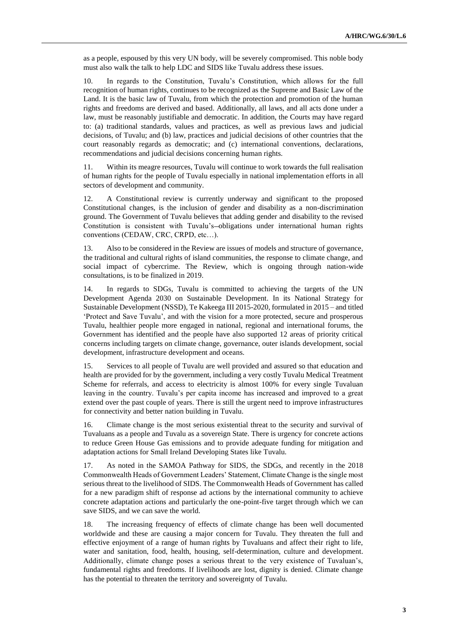as a people, espoused by this very UN body, will be severely compromised. This noble body must also walk the talk to help LDC and SIDS like Tuvalu address these issues.

10. In regards to the Constitution, Tuvalu's Constitution, which allows for the full recognition of human rights, continues to be recognized as the Supreme and Basic Law of the Land. It is the basic law of Tuvalu, from which the protection and promotion of the human rights and freedoms are derived and based. Additionally, all laws, and all acts done under a law, must be reasonably justifiable and democratic. In addition, the Courts may have regard to: (a) traditional standards, values and practices, as well as previous laws and judicial decisions, of Tuvalu; and (b) law, practices and judicial decisions of other countries that the court reasonably regards as democratic; and (c) international conventions, declarations, recommendations and judicial decisions concerning human rights.

11. Within its meagre resources, Tuvalu will continue to work towards the full realisation of human rights for the people of Tuvalu especially in national implementation efforts in all sectors of development and community.

12. A Constitutional review is currently underway and significant to the proposed Constitutional changes, is the inclusion of gender and disability as a non-discrimination ground. The Government of Tuvalu believes that adding gender and disability to the revised Constitution is consistent with Tuvalu's-obligations under international human rights conventions (CEDAW, CRC, CRPD, etc…).

13. Also to be considered in the Review are issues of models and structure of governance, the traditional and cultural rights of island communities, the response to climate change, and social impact of cybercrime. The Review, which is ongoing through nation-wide consultations, is to be finalized in 2019.

14. In regards to SDGs, Tuvalu is committed to achieving the targets of the UN Development Agenda 2030 on Sustainable Development. In its National Strategy for Sustainable Development (NSSD), Te Kakeega III 2015-2020, formulated in 2015 – and titled 'Protect and Save Tuvalu', and with the vision for a more protected, secure and prosperous Tuvalu, healthier people more engaged in national, regional and international forums, the Government has identified and the people have also supported 12 areas of priority critical concerns including targets on climate change, governance, outer islands development, social development, infrastructure development and oceans.

15. Services to all people of Tuvalu are well provided and assured so that education and health are provided for by the government, including a very costly Tuvalu Medical Treatment Scheme for referrals, and access to electricity is almost 100% for every single Tuvaluan leaving in the country. Tuvalu's per capita income has increased and improved to a great extend over the past couple of years. There is still the urgent need to improve infrastructures for connectivity and better nation building in Tuvalu.

16. Climate change is the most serious existential threat to the security and survival of Tuvaluans as a people and Tuvalu as a sovereign State. There is urgency for concrete actions to reduce Green House Gas emissions and to provide adequate funding for mitigation and adaptation actions for Small Ireland Developing States like Tuvalu.

17. As noted in the SAMOA Pathway for SIDS, the SDGs, and recently in the 2018 Commonwealth Heads of Government Leaders' Statement, Climate Change is the single most serious threat to the livelihood of SIDS. The Commonwealth Heads of Government has called for a new paradigm shift of response ad actions by the international community to achieve concrete adaptation actions and particularly the one-point-five target through which we can save SIDS, and we can save the world.

18. The increasing frequency of effects of climate change has been well documented worldwide and these are causing a major concern for Tuvalu. They threaten the full and effective enjoyment of a range of human rights by Tuvaluans and affect their right to life, water and sanitation, food, health, housing, self-determination, culture and development. Additionally, climate change poses a serious threat to the very existence of Tuvaluan's, fundamental rights and freedoms. If livelihoods are lost, dignity is denied. Climate change has the potential to threaten the territory and sovereignty of Tuvalu.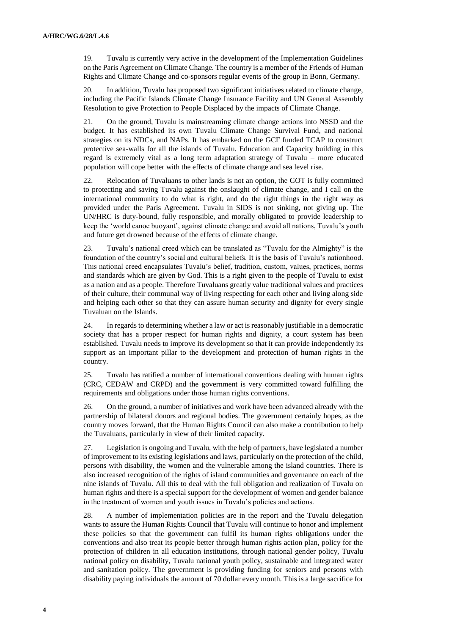19. Tuvalu is currently very active in the development of the Implementation Guidelines on the Paris Agreement on Climate Change. The country is a member of the Friends of Human Rights and Climate Change and co-sponsors regular events of the group in Bonn, Germany.

20. In addition, Tuvalu has proposed two significant initiatives related to climate change, including the Pacific Islands Climate Change Insurance Facility and UN General Assembly Resolution to give Protection to People Displaced by the impacts of Climate Change.

21. On the ground, Tuvalu is mainstreaming climate change actions into NSSD and the budget. It has established its own Tuvalu Climate Change Survival Fund, and national strategies on its NDCs, and NAPs. It has embarked on the GCF funded TCAP to construct protective sea-walls for all the islands of Tuvalu. Education and Capacity building in this regard is extremely vital as a long term adaptation strategy of Tuvalu – more educated population will cope better with the effects of climate change and sea level rise.

22. Relocation of Tuvaluans to other lands is not an option, the GOT is fully committed to protecting and saving Tuvalu against the onslaught of climate change, and I call on the international community to do what is right, and do the right things in the right way as provided under the Paris Agreement. Tuvalu in SIDS is not sinking, not giving up. The UN/HRC is duty-bound, fully responsible, and morally obligated to provide leadership to keep the 'world canoe buoyant', against climate change and avoid all nations, Tuvalu's youth and future get drowned because of the effects of climate change.

23. Tuvalu's national creed which can be translated as "Tuvalu for the Almighty" is the foundation of the country's social and cultural beliefs. It is the basis of Tuvalu's nationhood. This national creed encapsulates Tuvalu's belief, tradition, custom, values, practices, norms and standards which are given by God. This is a right given to the people of Tuvalu to exist as a nation and as a people. Therefore Tuvaluans greatly value traditional values and practices of their culture, their communal way of living respecting for each other and living along side and helping each other so that they can assure human security and dignity for every single Tuvaluan on the Islands.

24. In regards to determining whether a law or act is reasonably justifiable in a democratic society that has a proper respect for human rights and dignity, a court system has been established. Tuvalu needs to improve its development so that it can provide independently its support as an important pillar to the development and protection of human rights in the country.

25. Tuvalu has ratified a number of international conventions dealing with human rights (CRC, CEDAW and CRPD) and the government is very committed toward fulfilling the requirements and obligations under those human rights conventions.

26. On the ground, a number of initiatives and work have been advanced already with the partnership of bilateral donors and regional bodies. The government certainly hopes, as the country moves forward, that the Human Rights Council can also make a contribution to help the Tuvaluans, particularly in view of their limited capacity.

27. Legislation is ongoing and Tuvalu, with the help of partners, have legislated a number of improvement to its existing legislations and laws, particularly on the protection of the child, persons with disability, the women and the vulnerable among the island countries. There is also increased recognition of the rights of island communities and governance on each of the nine islands of Tuvalu. All this to deal with the full obligation and realization of Tuvalu on human rights and there is a special support for the development of women and gender balance in the treatment of women and youth issues in Tuvalu's policies and actions.

28. A number of implementation policies are in the report and the Tuvalu delegation wants to assure the Human Rights Council that Tuvalu will continue to honor and implement these policies so that the government can fulfil its human rights obligations under the conventions and also treat its people better through human rights action plan, policy for the protection of children in all education institutions, through national gender policy, Tuvalu national policy on disability, Tuvalu national youth policy, sustainable and integrated water and sanitation policy. The government is providing funding for seniors and persons with disability paying individuals the amount of 70 dollar every month. This is a large sacrifice for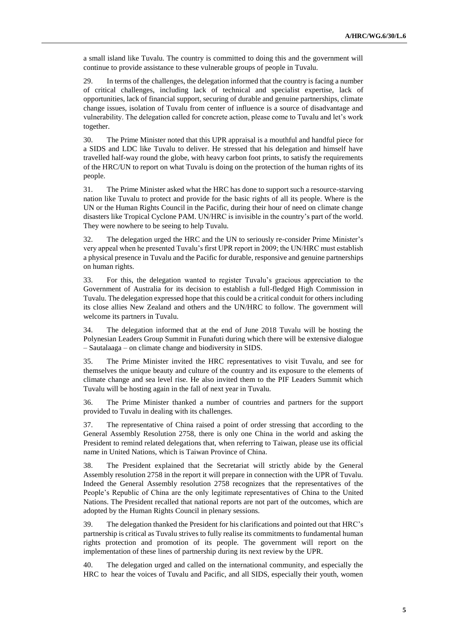a small island like Tuvalu. The country is committed to doing this and the government will continue to provide assistance to these vulnerable groups of people in Tuvalu.

29. In terms of the challenges, the delegation informed that the country is facing a number of critical challenges, including lack of technical and specialist expertise, lack of opportunities, lack of financial support, securing of durable and genuine partnerships, climate change issues, isolation of Tuvalu from center of influence is a source of disadvantage and vulnerability. The delegation called for concrete action, please come to Tuvalu and let's work together.

30. The Prime Minister noted that this UPR appraisal is a mouthful and handful piece for a SIDS and LDC like Tuvalu to deliver. He stressed that his delegation and himself have travelled half-way round the globe, with heavy carbon foot prints, to satisfy the requirements of the HRC/UN to report on what Tuvalu is doing on the protection of the human rights of its people.

31. The Prime Minister asked what the HRC has done to support such a resource-starving nation like Tuvalu to protect and provide for the basic rights of all its people. Where is the UN or the Human Rights Council in the Pacific, during their hour of need on climate change disasters like Tropical Cyclone PAM. UN/HRC is invisible in the country's part of the world. They were nowhere to be seeing to help Tuvalu.

32. The delegation urged the HRC and the UN to seriously re-consider Prime Minister's very appeal when he presented Tuvalu's first UPR report in 2009; the UN/HRC must establish a physical presence in Tuvalu and the Pacific for durable, responsive and genuine partnerships on human rights.

33. For this, the delegation wanted to register Tuvalu's gracious appreciation to the Government of Australia for its decision to establish a full-fledged High Commission in Tuvalu. The delegation expressed hope that this could be a critical conduit for others including its close allies New Zealand and others and the UN/HRC to follow. The government will welcome its partners in Tuvalu.

34. The delegation informed that at the end of June 2018 Tuvalu will be hosting the Polynesian Leaders Group Summit in Funafuti during which there will be extensive dialogue – Sautalaaga – on climate change and biodiversity in SIDS.

35. The Prime Minister invited the HRC representatives to visit Tuvalu, and see for themselves the unique beauty and culture of the country and its exposure to the elements of climate change and sea level rise. He also invited them to the PIF Leaders Summit which Tuvalu will be hosting again in the fall of next year in Tuvalu.

36. The Prime Minister thanked a number of countries and partners for the support provided to Tuvalu in dealing with its challenges.

37. The representative of China raised a point of order stressing that according to the General Assembly Resolution 2758, there is only one China in the world and asking the President to remind related delegations that, when referring to Taiwan, please use its official name in United Nations, which is Taiwan Province of China.

38. The President explained that the Secretariat will strictly abide by the General Assembly resolution 2758 in the report it will prepare in connection with the UPR of Tuvalu. Indeed the General Assembly resolution 2758 recognizes that the representatives of the People's Republic of China are the only legitimate representatives of China to the United Nations. The President recalled that national reports are not part of the outcomes, which are adopted by the Human Rights Council in plenary sessions.

39. The delegation thanked the President for his clarifications and pointed out that HRC's partnership is critical as Tuvalu strives to fully realise its commitments to fundamental human rights protection and promotion of its people. The government will report on the implementation of these lines of partnership during its next review by the UPR.

40. The delegation urged and called on the international community, and especially the HRC to hear the voices of Tuvalu and Pacific, and all SIDS, especially their youth, women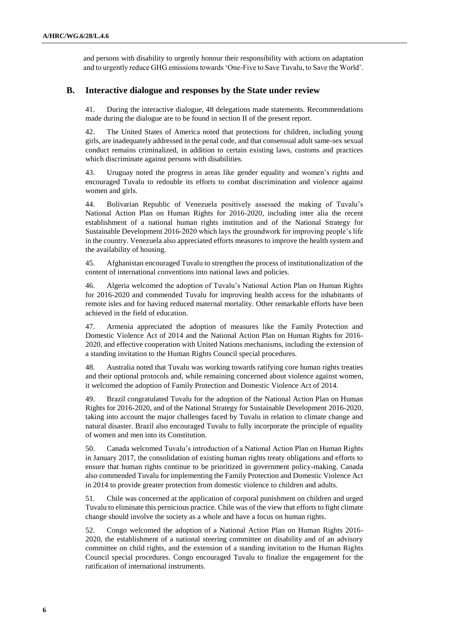and persons with disability to urgently honour their responsibility with actions on adaptation and to urgently reduce GHG emissions towards 'One-Five to Save Tuvalu, to Save the World'.

#### **B. Interactive dialogue and responses by the State under review**

41. During the interactive dialogue, 48 delegations made statements. Recommendations made during the dialogue are to be found in section II of the present report.

42. The United States of America noted that protections for children, including young girls, are inadequately addressed in the penal code, and that consensual adult same-sex sexual conduct remains criminalized, in addition to certain existing laws, customs and practices which discriminate against persons with disabilities.

43. Uruguay noted the progress in areas like gender equality and women's rights and encouraged Tuvalu to redouble its efforts to combat discrimination and violence against women and girls.

44. Bolivarian Republic of Venezuela positively assessed the making of Tuvalu's National Action Plan on Human Rights for 2016-2020, including inter alia the recent establishment of a national human rights institution and of the National Strategy for Sustainable Development 2016-2020 which lays the groundwork for improving people's life in the country. Venezuela also appreciated efforts measures to improve the health system and the availability of housing.

45. Afghanistan encouraged Tuvalu to strengthen the process of institutionalization of the content of international conventions into national laws and policies.

46. Algeria welcomed the adoption of Tuvalu's National Action Plan on Human Rights for 2016-2020 and commended Tuvalu for improving health access for the inhabitants of remote isles and for having reduced maternal mortality. Other remarkable efforts have been achieved in the field of education.

47. Armenia appreciated the adoption of measures like the Family Protection and Domestic Violence Act of 2014 and the National Action Plan on Human Rights for 2016- 2020, and effective cooperation with United Nations mechanisms, including the extension of a standing invitation to the Human Rights Council special procedures.

48. Australia noted that Tuvalu was working towards ratifying core human rights treaties and their optional protocols and, while remaining concerned about violence against women, it welcomed the adoption of Family Protection and Domestic Violence Act of 2014.

49. Brazil congratulated Tuvalu for the adoption of the National Action Plan on Human Rights for 2016-2020, and of the National Strategy for Sustainable Development 2016-2020, taking into account the major challenges faced by Tuvalu in relation to climate change and natural disaster. Brazil also encouraged Tuvalu to fully incorporate the principle of equality of women and men into its Constitution.

50. Canada welcomed Tuvalu's introduction of a National Action Plan on Human Rights in January 2017, the consolidation of existing human rights treaty obligations and efforts to ensure that human rights continue to be prioritized in government policy-making. Canada also commended Tuvalu for implementing the Family Protection and Domestic Violence Act in 2014 to provide greater protection from domestic violence to children and adults.

51. Chile was concerned at the application of corporal punishment on children and urged Tuvalu to eliminate this pernicious practice. Chile was of the view that efforts to fight climate change should involve the society as a whole and have a focus on human rights.

52. Congo welcomed the adoption of a National Action Plan on Human Rights 2016- 2020, the establishment of a national steering committee on disability and of an advisory committee on child rights, and the extension of a standing invitation to the Human Rights Council special procedures. Congo encouraged Tuvalu to finalize the engagement for the ratification of international instruments.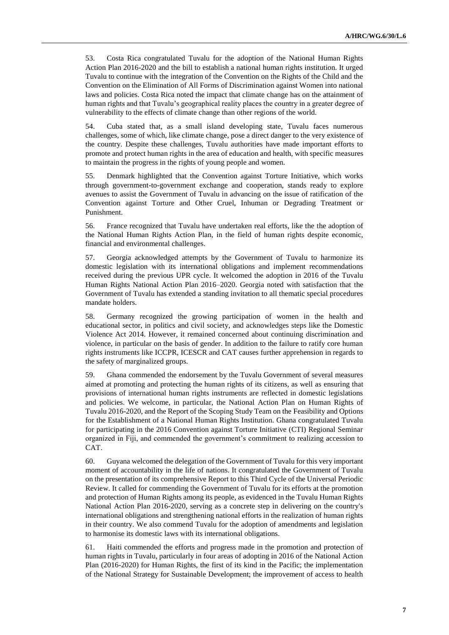53. Costa Rica congratulated Tuvalu for the adoption of the National Human Rights Action Plan 2016-2020 and the bill to establish a national human rights institution. It urged Tuvalu to continue with the integration of the Convention on the Rights of the Child and the Convention on the Elimination of All Forms of Discrimination against Women into national laws and policies. Costa Rica noted the impact that climate change has on the attainment of human rights and that Tuvalu's geographical reality places the country in a greater degree of vulnerability to the effects of climate change than other regions of the world.

54. Cuba stated that, as a small island developing state, Tuvalu faces numerous challenges, some of which, like climate change, pose a direct danger to the very existence of the country. Despite these challenges, Tuvalu authorities have made important efforts to promote and protect human rights in the area of education and health, with specific measures to maintain the progress in the rights of young people and women.

55. Denmark highlighted that the Convention against Torture Initiative, which works through government-to-government exchange and cooperation, stands ready to explore avenues to assist the Government of Tuvalu in advancing on the issue of ratification of the Convention against Torture and Other Cruel, Inhuman or Degrading Treatment or Punishment.

56. France recognized that Tuvalu have undertaken real efforts, like the the adoption of the National Human Rights Action Plan, in the field of human rights despite economic, financial and environmental challenges.

57. Georgia acknowledged attempts by the Government of Tuvalu to harmonize its domestic legislation with its international obligations and implement recommendations received during the previous UPR cycle. It welcomed the adoption in 2016 of the Tuvalu Human Rights National Action Plan 2016–2020. Georgia noted with satisfaction that the Government of Tuvalu has extended a standing invitation to all thematic special procedures mandate holders.

58. Germany recognized the growing participation of women in the health and educational sector, in politics and civil society, and acknowledges steps like the Domestic Violence Act 2014. However, it remained concerned about continuing discrimination and violence, in particular on the basis of gender. In addition to the failure to ratify core human rights instruments like ICCPR, ICESCR and CAT causes further apprehension in regards to the safety of marginalized groups.

59. Ghana commended the endorsement by the Tuvalu Government of several measures aimed at promoting and protecting the human rights of its citizens, as well as ensuring that provisions of international human rights instruments are reflected in domestic legislations and policies. We welcome, in particular, the National Action Plan on Human Rights of Tuvalu 2016-2020, and the Report of the Scoping Study Team on the Feasibility and Options for the Establishment of a National Human Rights Institution. Ghana congratulated Tuvalu for participating in the 2016 Convention against Torture Initiative (CTI) Regional Seminar organized in Fiji, and commended the government's commitment to realizing accession to CAT.

60. Guyana welcomed the delegation of the Government of Tuvalu for this very important moment of accountability in the life of nations. It congratulated the Government of Tuvalu on the presentation of its comprehensive Report to this Third Cycle of the Universal Periodic Review. It called for commending the Government of Tuvalu for its efforts at the promotion and protection of Human Rights among its people, as evidenced in the Tuvalu Human Rights National Action Plan 2016-2020, serving as a concrete step in delivering on the country's international obligations and strengthening national efforts in the realization of human rights in their country. We also commend Tuvalu for the adoption of amendments and legislation to harmonise its domestic laws with its international obligations.

61. Haiti commended the efforts and progress made in the promotion and protection of human rights in Tuvalu, particularly in four areas of adopting in 2016 of the National Action Plan (2016-2020) for Human Rights, the first of its kind in the Pacific; the implementation of the National Strategy for Sustainable Development; the improvement of access to health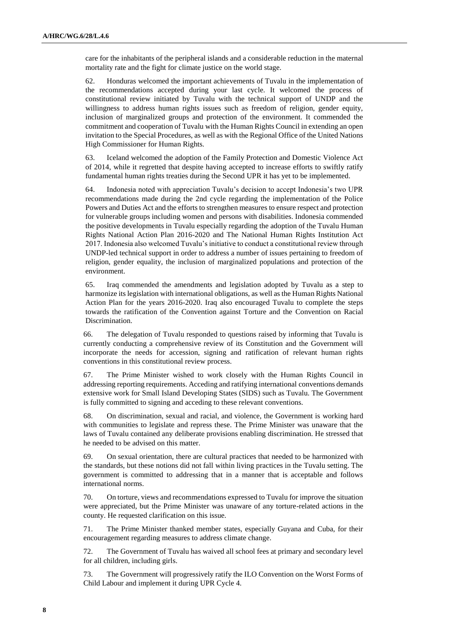care for the inhabitants of the peripheral islands and a considerable reduction in the maternal mortality rate and the fight for climate justice on the world stage.

62. Honduras welcomed the important achievements of Tuvalu in the implementation of the recommendations accepted during your last cycle. It welcomed the process of constitutional review initiated by Tuvalu with the technical support of UNDP and the willingness to address human rights issues such as freedom of religion, gender equity, inclusion of marginalized groups and protection of the environment. It commended the commitment and cooperation of Tuvalu with the Human Rights Council in extending an open invitation to the Special Procedures, as well as with the Regional Office of the United Nations High Commissioner for Human Rights.

63. Iceland welcomed the adoption of the Family Protection and Domestic Violence Act of 2014, while it regretted that despite having accepted to increase efforts to swiftly ratify fundamental human rights treaties during the Second UPR it has yet to be implemented.

64. Indonesia noted with appreciation Tuvalu's decision to accept Indonesia's two UPR recommendations made during the 2nd cycle regarding the implementation of the Police Powers and Duties Act and the efforts to strengthen measures to ensure respect and protection for vulnerable groups including women and persons with disabilities. Indonesia commended the positive developments in Tuvalu especially regarding the adoption of the Tuvalu Human Rights National Action Plan 2016-2020 and The National Human Rights Institution Act 2017. Indonesia also welcomed Tuvalu's initiative to conduct a constitutional review through UNDP-led technical support in order to address a number of issues pertaining to freedom of religion, gender equality, the inclusion of marginalized populations and protection of the environment.

65. Iraq commended the amendments and legislation adopted by Tuvalu as a step to harmonize its legislation with international obligations, as well as the Human Rights National Action Plan for the years 2016-2020. Iraq also encouraged Tuvalu to complete the steps towards the ratification of the Convention against Torture and the Convention on Racial Discrimination.

66. The delegation of Tuvalu responded to questions raised by informing that Tuvalu is currently conducting a comprehensive review of its Constitution and the Government will incorporate the needs for accession, signing and ratification of relevant human rights conventions in this constitutional review process.

67. The Prime Minister wished to work closely with the Human Rights Council in addressing reporting requirements. Acceding and ratifying international conventions demands extensive work for Small Island Developing States (SIDS) such as Tuvalu. The Government is fully committed to signing and acceding to these relevant conventions.

68. On discrimination, sexual and racial, and violence, the Government is working hard with communities to legislate and repress these. The Prime Minister was unaware that the laws of Tuvalu contained any deliberate provisions enabling discrimination. He stressed that he needed to be advised on this matter.

69. On sexual orientation, there are cultural practices that needed to be harmonized with the standards, but these notions did not fall within living practices in the Tuvalu setting. The government is committed to addressing that in a manner that is acceptable and follows international norms.

70. On torture, views and recommendations expressed to Tuvalu for improve the situation were appreciated, but the Prime Minister was unaware of any torture-related actions in the county. He requested clarification on this issue.

71. The Prime Minister thanked member states, especially Guyana and Cuba, for their encouragement regarding measures to address climate change.

72. The Government of Tuvalu has waived all school fees at primary and secondary level for all children, including girls.

73. The Government will progressively ratify the ILO Convention on the Worst Forms of Child Labour and implement it during UPR Cycle 4.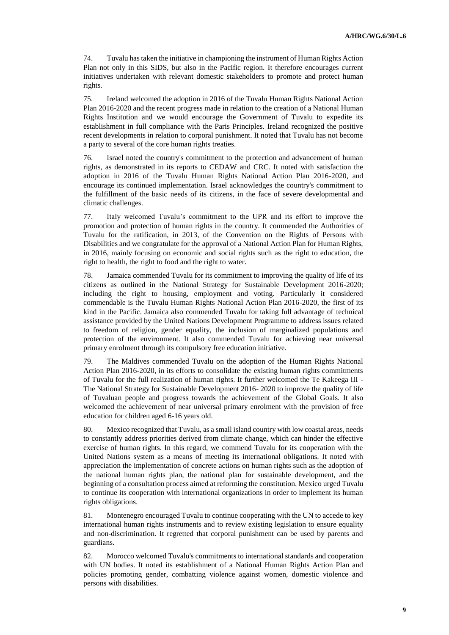74. Tuvalu has taken the initiative in championing the instrument of Human Rights Action Plan not only in this SIDS, but also in the Pacific region. It therefore encourages current initiatives undertaken with relevant domestic stakeholders to promote and protect human rights.

75. Ireland welcomed the adoption in 2016 of the Tuvalu Human Rights National Action Plan 2016-2020 and the recent progress made in relation to the creation of a National Human Rights Institution and we would encourage the Government of Tuvalu to expedite its establishment in full compliance with the Paris Principles. Ireland recognized the positive recent developments in relation to corporal punishment. It noted that Tuvalu has not become a party to several of the core human rights treaties.

76. Israel noted the country's commitment to the protection and advancement of human rights, as demonstrated in its reports to CEDAW and CRC. It noted with satisfaction the adoption in 2016 of the Tuvalu Human Rights National Action Plan 2016-2020, and encourage its continued implementation. Israel acknowledges the country's commitment to the fulfillment of the basic needs of its citizens, in the face of severe developmental and climatic challenges.

77. Italy welcomed Tuvalu's commitment to the UPR and its effort to improve the promotion and protection of human rights in the country. It commended the Authorities of Tuvalu for the ratification, in 2013, of the Convention on the Rights of Persons with Disabilities and we congratulate for the approval of a National Action Plan for Human Rights, in 2016, mainly focusing on economic and social rights such as the right to education, the right to health, the right to food and the right to water.

78. Jamaica commended Tuvalu for its commitment to improving the quality of life of its citizens as outlined in the National Strategy for Sustainable Development 2016-2020; including the right to housing, employment and voting. Particularly it considered commendable is the Tuvalu Human Rights National Action Plan 2016-2020, the first of its kind in the Pacific. Jamaica also commended Tuvalu for taking full advantage of technical assistance provided by the United Nations Development Programme to address issues related to freedom of religion, gender equality, the inclusion of marginalized populations and protection of the environment. It also commended Tuvalu for achieving near universal primary enrolment through its compulsory free education initiative.

79. The Maldives commended Tuvalu on the adoption of the Human Rights National Action Plan 2016-2020, in its efforts to consolidate the existing human rights commitments of Tuvalu for the full realization of human rights. It further welcomed the Te Kakeega III - The National Strategy for Sustainable Development 2016- 2020 to improve the quality of life of Tuvaluan people and progress towards the achievement of the Global Goals. It also welcomed the achievement of near universal primary enrolment with the provision of free education for children aged 6-16 years old.

80. Mexico recognized that Tuvalu, as a small island country with low coastal areas, needs to constantly address priorities derived from climate change, which can hinder the effective exercise of human rights. In this regard, we commend Tuvalu for its cooperation with the United Nations system as a means of meeting its international obligations. It noted with appreciation the implementation of concrete actions on human rights such as the adoption of the national human rights plan, the national plan for sustainable development, and the beginning of a consultation process aimed at reforming the constitution. Mexico urged Tuvalu to continue its cooperation with international organizations in order to implement its human rights obligations.

81. Montenegro encouraged Tuvalu to continue cooperating with the UN to accede to key international human rights instruments and to review existing legislation to ensure equality and non-discrimination. It regretted that corporal punishment can be used by parents and guardians.

82. Morocco welcomed Tuvalu's commitments to international standards and cooperation with UN bodies. It noted its establishment of a National Human Rights Action Plan and policies promoting gender, combatting violence against women, domestic violence and persons with disabilities.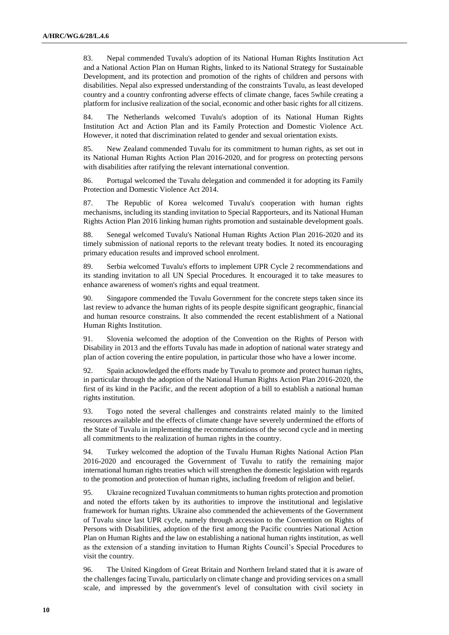83. Nepal commended Tuvalu's adoption of its National Human Rights Institution Act and a National Action Plan on Human Rights, linked to its National Strategy for Sustainable Development, and its protection and promotion of the rights of children and persons with disabilities. Nepal also expressed understanding of the constraints Tuvalu, as least developed country and a country confronting adverse effects of climate change, faces 5while creating a platform for inclusive realization of the social, economic and other basic rights for all citizens.

84. The Netherlands welcomed Tuvalu's adoption of its National Human Rights Institution Act and Action Plan and its Family Protection and Domestic Violence Act. However, it noted that discrimination related to gender and sexual orientation exists.

85. New Zealand commended Tuvalu for its commitment to human rights, as set out in its National Human Rights Action Plan 2016-2020, and for progress on protecting persons with disabilities after ratifying the relevant international convention.

86. Portugal welcomed the Tuvalu delegation and commended it for adopting its Family Protection and Domestic Violence Act 2014.

87. The Republic of Korea welcomed Tuvalu's cooperation with human rights mechanisms, including its standing invitation to Special Rapporteurs, and its National Human Rights Action Plan 2016 linking human rights promotion and sustainable development goals.

88. Senegal welcomed Tuvalu's National Human Rights Action Plan 2016-2020 and its timely submission of national reports to the relevant treaty bodies. It noted its encouraging primary education results and improved school enrolment.

89. Serbia welcomed Tuvalu's efforts to implement UPR Cycle 2 recommendations and its standing invitation to all UN Special Procedures. It encouraged it to take measures to enhance awareness of women's rights and equal treatment.

90. Singapore commended the Tuvalu Government for the concrete steps taken since its last review to advance the human rights of its people despite significant geographic, financial and human resource constrains. It also commended the recent establishment of a National Human Rights Institution.

91. Slovenia welcomed the adoption of the Convention on the Rights of Person with Disability in 2013 and the efforts Tuvalu has made in adoption of national water strategy and plan of action covering the entire population, in particular those who have a lower income.

Spain acknowledged the efforts made by Tuvalu to promote and protect human rights, in particular through the adoption of the National Human Rights Action Plan 2016-2020, the first of its kind in the Pacific, and the recent adoption of a bill to establish a national human rights institution.

93. Togo noted the several challenges and constraints related mainly to the limited resources available and the effects of climate change have severely undermined the efforts of the State of Tuvalu in implementing the recommendations of the second cycle and in meeting all commitments to the realization of human rights in the country.

94. Turkey welcomed the adoption of the Tuvalu Human Rights National Action Plan 2016-2020 and encouraged the Government of Tuvalu to ratify the remaining major international human rights treaties which will strengthen the domestic legislation with regards to the promotion and protection of human rights, including freedom of religion and belief.

95. Ukraine recognized Tuvaluan commitments to human rights protection and promotion and noted the efforts taken by its authorities to improve the institutional and legislative framework for human rights. Ukraine also commended the achievements of the Government of Tuvalu since last UPR cycle, namely through accession to the Convention on Rights of Persons with Disabilities, adoption of the first among the Pacific countries National Action Plan on Human Rights and the law on establishing a national human rights institution, as well as the extension of a standing invitation to Human Rights Council's Special Procedures to visit the country.

96. The United Kingdom of Great Britain and Northern Ireland stated that it is aware of the challenges facing Tuvalu, particularly on climate change and providing services on a small scale, and impressed by the government's level of consultation with civil society in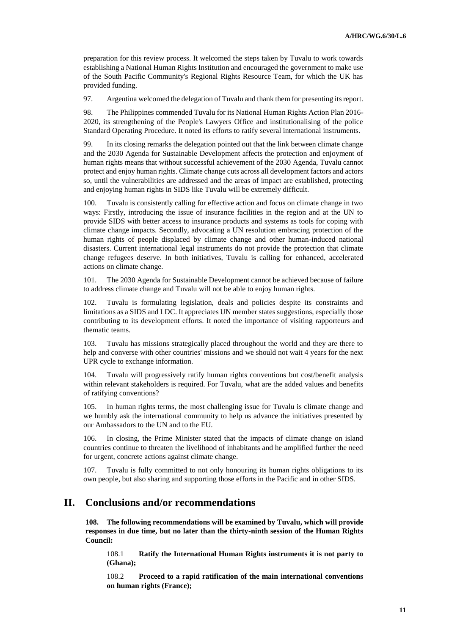preparation for this review process. It welcomed the steps taken by Tuvalu to work towards establishing a National Human Rights Institution and encouraged the government to make use of the South Pacific Community's Regional Rights Resource Team, for which the UK has provided funding.

97. Argentina welcomed the delegation of Tuvalu and thank them for presenting its report.

98. The Philippines commended Tuvalu for its National Human Rights Action Plan 2016- 2020, its strengthening of the People's Lawyers Office and institutionalising of the police Standard Operating Procedure. It noted its efforts to ratify several international instruments.

99. In its closing remarks the delegation pointed out that the link between climate change and the 2030 Agenda for Sustainable Development affects the protection and enjoyment of human rights means that without successful achievement of the 2030 Agenda, Tuvalu cannot protect and enjoy human rights. Climate change cuts across all development factors and actors so, until the vulnerabilities are addressed and the areas of impact are established, protecting and enjoying human rights in SIDS like Tuvalu will be extremely difficult.

100. Tuvalu is consistently calling for effective action and focus on climate change in two ways: Firstly, introducing the issue of insurance facilities in the region and at the UN to provide SIDS with better access to insurance products and systems as tools for coping with climate change impacts. Secondly, advocating a UN resolution embracing protection of the human rights of people displaced by climate change and other human-induced national disasters. Current international legal instruments do not provide the protection that climate change refugees deserve. In both initiatives, Tuvalu is calling for enhanced, accelerated actions on climate change.

101. The 2030 Agenda for Sustainable Development cannot be achieved because of failure to address climate change and Tuvalu will not be able to enjoy human rights.

102. Tuvalu is formulating legislation, deals and policies despite its constraints and limitations as a SIDS and LDC. It appreciates UN member states suggestions, especially those contributing to its development efforts. It noted the importance of visiting rapporteurs and thematic teams.

103. Tuvalu has missions strategically placed throughout the world and they are there to help and converse with other countries' missions and we should not wait 4 years for the next UPR cycle to exchange information.

104. Tuvalu will progressively ratify human rights conventions but cost/benefit analysis within relevant stakeholders is required. For Tuvalu, what are the added values and benefits of ratifying conventions?

105. In human rights terms, the most challenging issue for Tuvalu is climate change and we humbly ask the international community to help us advance the initiatives presented by our Ambassadors to the UN and to the EU.

106. In closing, the Prime Minister stated that the impacts of climate change on island countries continue to threaten the livelihood of inhabitants and he amplified further the need for urgent, concrete actions against climate change.

107. Tuvalu is fully committed to not only honouring its human rights obligations to its own people, but also sharing and supporting those efforts in the Pacific and in other SIDS.

## **II. Conclusions and/or recommendations**

**108. The following recommendations will be examined by Tuvalu, which will provide responses in due time, but no later than the thirty-ninth session of the Human Rights Council:**

108.1 **Ratify the International Human Rights instruments it is not party to (Ghana);**

108.2 **Proceed to a rapid ratification of the main international conventions on human rights (France);**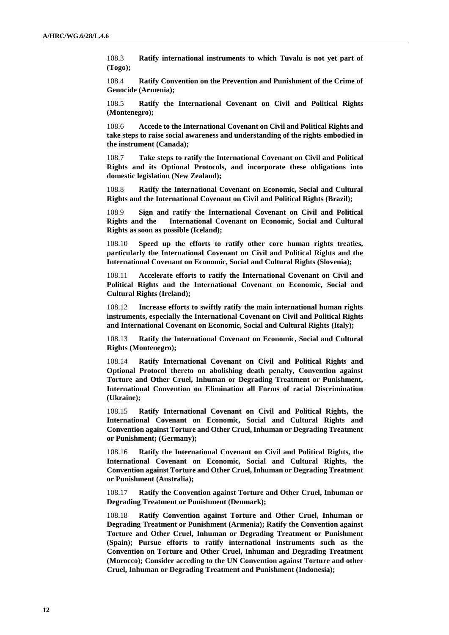108.3 **Ratify international instruments to which Tuvalu is not yet part of (Togo);**

108.4 **Ratify Convention on the Prevention and Punishment of the Crime of Genocide (Armenia);**

108.5 **Ratify the International Covenant on Civil and Political Rights (Montenegro);**

108.6 **Accede to the International Covenant on Civil and Political Rights and take steps to raise social awareness and understanding of the rights embodied in the instrument (Canada);**

108.7 **Take steps to ratify the International Covenant on Civil and Political Rights and its Optional Protocols, and incorporate these obligations into domestic legislation (New Zealand);**

108.8 **Ratify the International Covenant on Economic, Social and Cultural Rights and the International Covenant on Civil and Political Rights (Brazil);**

108.9 **Sign and ratify the International Covenant on Civil and Political Rights and the International Covenant on Economic, Social and Cultural Rights as soon as possible (Iceland);**

108.10 **Speed up the efforts to ratify other core human rights treaties, particularly the International Covenant on Civil and Political Rights and the International Covenant on Economic, Social and Cultural Rights (Slovenia);**

108.11 **Accelerate efforts to ratify the International Covenant on Civil and Political Rights and the International Covenant on Economic, Social and Cultural Rights (Ireland);**

108.12 **Increase efforts to swiftly ratify the main international human rights instruments, especially the International Covenant on Civil and Political Rights and International Covenant on Economic, Social and Cultural Rights (Italy);**

108.13 **Ratify the International Covenant on Economic, Social and Cultural Rights (Montenegro);**

108.14 **Ratify International Covenant on Civil and Political Rights and Optional Protocol thereto on abolishing death penalty, Convention against Torture and Other Cruel, Inhuman or Degrading Treatment or Punishment, International Convention on Elimination all Forms of racial Discrimination (Ukraine);**

108.15 **Ratify International Covenant on Civil and Political Rights, the International Covenant on Economic, Social and Cultural Rights and Convention against Torture and Other Cruel, Inhuman or Degrading Treatment or Punishment; (Germany);**

108.16 **Ratify the International Covenant on Civil and Political Rights, the International Covenant on Economic, Social and Cultural Rights, the Convention against Torture and Other Cruel, Inhuman or Degrading Treatment or Punishment (Australia);**

108.17 **Ratify the Convention against Torture and Other Cruel, Inhuman or Degrading Treatment or Punishment (Denmark);**

108.18 **Ratify Convention against Torture and Other Cruel, Inhuman or Degrading Treatment or Punishment (Armenia); Ratify the Convention against Torture and Other Cruel, Inhuman or Degrading Treatment or Punishment (Spain); Pursue efforts to ratify international instruments such as the Convention on Torture and Other Cruel, Inhuman and Degrading Treatment (Morocco); Consider acceding to the UN Convention against Torture and other Cruel, Inhuman or Degrading Treatment and Punishment (Indonesia);**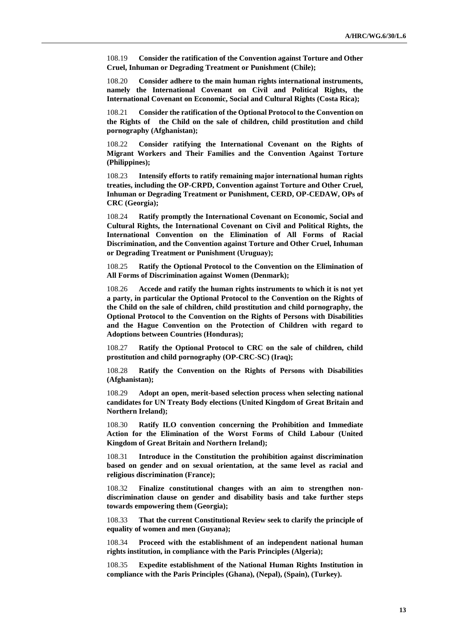108.19 **Consider the ratification of the Convention against Torture and Other Cruel, Inhuman or Degrading Treatment or Punishment (Chile);**

108.20 **Consider adhere to the main human rights international instruments, namely the International Covenant on Civil and Political Rights, the International Covenant on Economic, Social and Cultural Rights (Costa Rica);**

108.21 **Consider the ratification of the Optional Protocol to the Convention on the Rights of the Child on the sale of children, child prostitution and child pornography (Afghanistan);**

108.22 **Consider ratifying the International Covenant on the Rights of Migrant Workers and Their Families and the Convention Against Torture (Philippines);**

108.23 **Intensify efforts to ratify remaining major international human rights treaties, including the OP-CRPD, Convention against Torture and Other Cruel, Inhuman or Degrading Treatment or Punishment, CERD, OP-CEDAW, OPs of CRC (Georgia);**

108.24 **Ratify promptly the International Covenant on Economic, Social and Cultural Rights, the International Covenant on Civil and Political Rights, the International Convention on the Elimination of All Forms of Racial Discrimination, and the Convention against Torture and Other Cruel, Inhuman or Degrading Treatment or Punishment (Uruguay);**

108.25 **Ratify the Optional Protocol to the Convention on the Elimination of All Forms of Discrimination against Women (Denmark);**

108.26 **Accede and ratify the human rights instruments to which it is not yet a party, in particular the Optional Protocol to the Convention on the Rights of the Child on the sale of children, child prostitution and child pornography, the Optional Protocol to the Convention on the Rights of Persons with Disabilities and the Hague Convention on the Protection of Children with regard to Adoptions between Countries (Honduras);**

108.27 **Ratify the Optional Protocol to CRC on the sale of children, child prostitution and child pornography (OP-CRC-SC) (Iraq);**

108.28 **Ratify the Convention on the Rights of Persons with Disabilities (Afghanistan);**

108.29 **Adopt an open, merit-based selection process when selecting national candidates for UN Treaty Body elections (United Kingdom of Great Britain and Northern Ireland);**

108.30 **Ratify ILO convention concerning the Prohibition and Immediate Action for the Elimination of the Worst Forms of Child Labour (United Kingdom of Great Britain and Northern Ireland);**

108.31 **Introduce in the Constitution the prohibition against discrimination based on gender and on sexual orientation, at the same level as racial and religious discrimination (France);**

108.32 **Finalize constitutional changes with an aim to strengthen nondiscrimination clause on gender and disability basis and take further steps towards empowering them (Georgia);**

108.33 **That the current Constitutional Review seek to clarify the principle of equality of women and men (Guyana);**

108.34 **Proceed with the establishment of an independent national human rights institution, in compliance with the Paris Principles (Algeria);**

108.35 **Expedite establishment of the National Human Rights Institution in compliance with the Paris Principles (Ghana), (Nepal), (Spain), (Turkey).**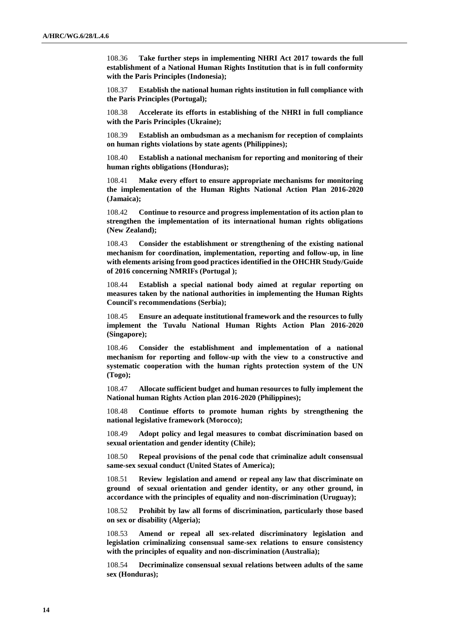108.36 **Take further steps in implementing NHRI Act 2017 towards the full establishment of a National Human Rights Institution that is in full conformity with the Paris Principles (Indonesia);**

108.37 **Establish the national human rights institution in full compliance with the Paris Principles (Portugal);**

108.38 **Accelerate its efforts in establishing of the NHRI in full compliance with the Paris Principles (Ukraine);**

108.39 **Establish an ombudsman as a mechanism for reception of complaints on human rights violations by state agents (Philippines);**

108.40 **Establish a national mechanism for reporting and monitoring of their human rights obligations (Honduras);**

108.41 **Make every effort to ensure appropriate mechanisms for monitoring the implementation of the Human Rights National Action Plan 2016-2020 (Jamaica);**

108.42 **Continue to resource and progress implementation of its action plan to strengthen the implementation of its international human rights obligations (New Zealand);**

108.43 **Consider the establishment or strengthening of the existing national mechanism for coordination, implementation, reporting and follow-up, in line with elements arising from good practices identified in the OHCHR Study/Guide of 2016 concerning NMRIFs (Portugal );**

108.44 **Establish a special national body aimed at regular reporting on measures taken by the national authorities in implementing the Human Rights Council's recommendations (Serbia);**

108.45 **Ensure an adequate institutional framework and the resources to fully implement the Tuvalu National Human Rights Action Plan 2016-2020 (Singapore);**

108.46 **Consider the establishment and implementation of a national mechanism for reporting and follow-up with the view to a constructive and systematic cooperation with the human rights protection system of the UN (Togo);**

108.47 **Allocate sufficient budget and human resources to fully implement the National human Rights Action plan 2016-2020 (Philippines);**

108.48 **Continue efforts to promote human rights by strengthening the national legislative framework (Morocco);**

108.49 **Adopt policy and legal measures to combat discrimination based on sexual orientation and gender identity (Chile);**

108.50 **Repeal provisions of the penal code that criminalize adult consensual same-sex sexual conduct (United States of America);**

108.51 **Review legislation and amend or repeal any law that discriminate on ground of sexual orientation and gender identity, or any other ground, in accordance with the principles of equality and non-discrimination (Uruguay);**

108.52 **Prohibit by law all forms of discrimination, particularly those based on sex or disability (Algeria);**

108.53 **Amend or repeal all sex-related discriminatory legislation and legislation criminalizing consensual same-sex relations to ensure consistency with the principles of equality and non-discrimination (Australia);**

108.54 **Decriminalize consensual sexual relations between adults of the same sex (Honduras);**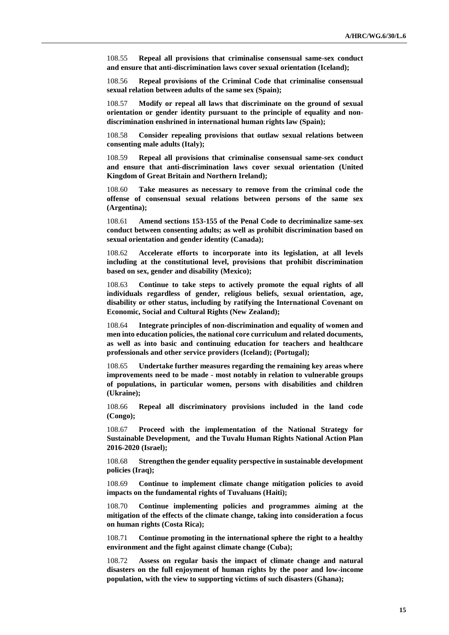108.55 **Repeal all provisions that criminalise consensual same-sex conduct and ensure that anti-discrimination laws cover sexual orientation (Iceland);**

108.56 **Repeal provisions of the Criminal Code that criminalise consensual sexual relation between adults of the same sex (Spain);**

108.57 **Modify or repeal all laws that discriminate on the ground of sexual orientation or gender identity pursuant to the principle of equality and nondiscrimination enshrined in international human rights law (Spain);**

108.58 **Consider repealing provisions that outlaw sexual relations between consenting male adults (Italy);**

108.59 **Repeal all provisions that criminalise consensual same-sex conduct and ensure that anti-discrimination laws cover sexual orientation (United Kingdom of Great Britain and Northern Ireland);**

108.60 **Take measures as necessary to remove from the criminal code the offense of consensual sexual relations between persons of the same sex (Argentina);**

108.61 **Amend sections 153-155 of the Penal Code to decriminalize same-sex conduct between consenting adults; as well as prohibit discrimination based on sexual orientation and gender identity (Canada);**

108.62 **Accelerate efforts to incorporate into its legislation, at all levels including at the constitutional level, provisions that prohibit discrimination based on sex, gender and disability (Mexico);**

108.63 **Continue to take steps to actively promote the equal rights of all individuals regardless of gender, religious beliefs, sexual orientation, age, disability or other status, including by ratifying the International Covenant on Economic, Social and Cultural Rights (New Zealand);**

108.64 **Integrate principles of non-discrimination and equality of women and men into education policies, the national core curriculum and related documents, as well as into basic and continuing education for teachers and healthcare professionals and other service providers (Iceland); (Portugal);**

108.65 **Undertake further measures regarding the remaining key areas where improvements need to be made - most notably in relation to vulnerable groups of populations, in particular women, persons with disabilities and children (Ukraine);**

108.66 **Repeal all discriminatory provisions included in the land code (Congo);**

108.67 **Proceed with the implementation of the National Strategy for Sustainable Development, and the Tuvalu Human Rights National Action Plan 2016-2020 (Israel);**

108.68 **Strengthen the gender equality perspective in sustainable development policies (Iraq);**

108.69 **Continue to implement climate change mitigation policies to avoid impacts on the fundamental rights of Tuvaluans (Haiti);**

108.70 **Continue implementing policies and programmes aiming at the mitigation of the effects of the climate change, taking into consideration a focus on human rights (Costa Rica);**

108.71 **Continue promoting in the international sphere the right to a healthy environment and the fight against climate change (Cuba);**

108.72 **Assess on regular basis the impact of climate change and natural disasters on the full enjoyment of human rights by the poor and low-income population, with the view to supporting victims of such disasters (Ghana);**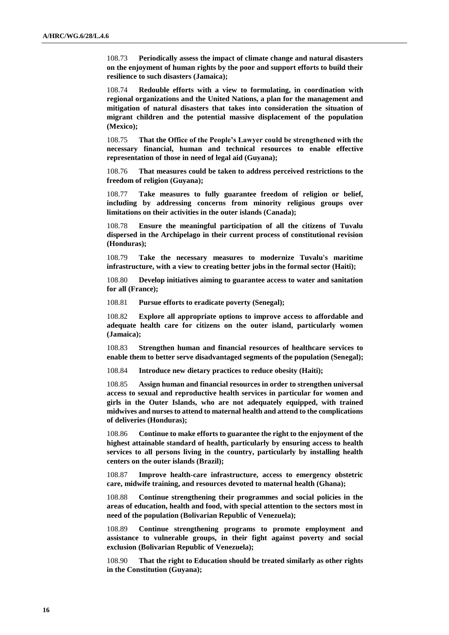108.73 **Periodically assess the impact of climate change and natural disasters on the enjoyment of human rights by the poor and support efforts to build their resilience to such disasters (Jamaica);**

108.74 **Redouble efforts with a view to formulating, in coordination with regional organizations and the United Nations, a plan for the management and mitigation of natural disasters that takes into consideration the situation of migrant children and the potential massive displacement of the population (Mexico);**

108.75 **That the Office of the People's Lawyer could be strengthened with the necessary financial, human and technical resources to enable effective representation of those in need of legal aid (Guyana);**

108.76 **That measures could be taken to address perceived restrictions to the freedom of religion (Guyana);**

108.77 **Take measures to fully guarantee freedom of religion or belief, including by addressing concerns from minority religious groups over limitations on their activities in the outer islands (Canada);**

108.78 **Ensure the meaningful participation of all the citizens of Tuvalu dispersed in the Archipelago in their current process of constitutional revision (Honduras);**

108.79 **Take the necessary measures to modernize Tuvalu's maritime infrastructure, with a view to creating better jobs in the formal sector (Haiti);**

108.80 **Develop initiatives aiming to guarantee access to water and sanitation for all (France);**

108.81 **Pursue efforts to eradicate poverty (Senegal);**

108.82 **Explore all appropriate options to improve access to affordable and adequate health care for citizens on the outer island, particularly women (Jamaica);**

108.83 **Strengthen human and financial resources of healthcare services to enable them to better serve disadvantaged segments of the population (Senegal);**

108.84 **Introduce new dietary practices to reduce obesity (Haiti);**

108.85 **Assign human and financial resources in order to strengthen universal access to sexual and reproductive health services in particular for women and girls in the Outer Islands, who are not adequately equipped, with trained midwives and nurses to attend to maternal health and attend to the complications of deliveries (Honduras);**

108.86 **Continue to make efforts to guarantee the right to the enjoyment of the highest attainable standard of health, particularly by ensuring access to health services to all persons living in the country, particularly by installing health centers on the outer islands (Brazil);**

108.87 **Improve health-care infrastructure, access to emergency obstetric care, midwife training, and resources devoted to maternal health (Ghana);**

108.88 **Continue strengthening their programmes and social policies in the areas of education, health and food, with special attention to the sectors most in need of the population (Bolivarian Republic of Venezuela);**

108.89 **Continue strengthening programs to promote employment and assistance to vulnerable groups, in their fight against poverty and social exclusion (Bolivarian Republic of Venezuela);**

108.90 **That the right to Education should be treated similarly as other rights in the Constitution (Guyana);**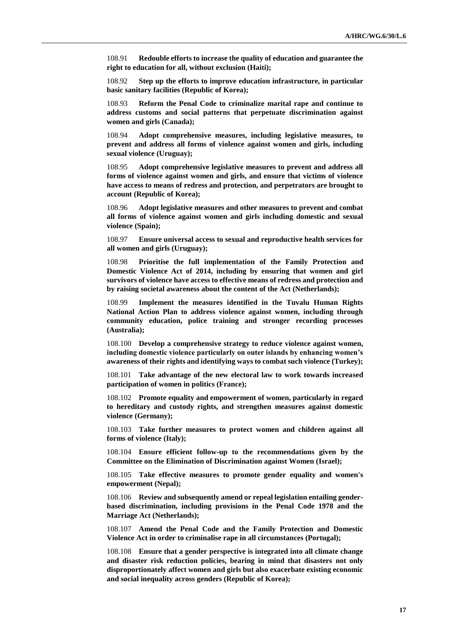108.91 **Redouble efforts to increase the quality of education and guarantee the right to education for all, without exclusion (Haiti);**

108.92 **Step up the efforts to improve education infrastructure, in particular basic sanitary facilities (Republic of Korea);**

108.93 **Reform the Penal Code to criminalize marital rape and continue to address customs and social patterns that perpetuate discrimination against women and girls (Canada);**

108.94 **Adopt comprehensive measures, including legislative measures, to prevent and address all forms of violence against women and girls, including sexual violence (Uruguay);**

108.95 **Adopt comprehensive legislative measures to prevent and address all forms of violence against women and girls, and ensure that victims of violence have access to means of redress and protection, and perpetrators are brought to account (Republic of Korea);**

108.96 **Adopt legislative measures and other measures to prevent and combat all forms of violence against women and girls including domestic and sexual violence (Spain);**

108.97 **Ensure universal access to sexual and reproductive health services for all women and girls (Uruguay);**

108.98 **Prioritise the full implementation of the Family Protection and Domestic Violence Act of 2014, including by ensuring that women and girl survivors of violence have access to effective means of redress and protection and by raising societal awareness about the content of the Act (Netherlands);**

108.99 **Implement the measures identified in the Tuvalu Human Rights National Action Plan to address violence against women, including through community education, police training and stronger recording processes (Australia);**

108.100 **Develop a comprehensive strategy to reduce violence against women, including domestic violence particularly on outer islands by enhancing women's awareness of their rights and identifying ways to combat such violence (Turkey);**

108.101 **Take advantage of the new electoral law to work towards increased participation of women in politics (France);**

108.102 **Promote equality and empowerment of women, particularly in regard to hereditary and custody rights, and strengthen measures against domestic violence (Germany);**

108.103 **Take further measures to protect women and children against all forms of violence (Italy);**

108.104 **Ensure efficient follow-up to the recommendations given by the Committee on the Elimination of Discrimination against Women (Israel);**

108.105 **Take effective measures to promote gender equality and women's empowerment (Nepal);**

108.106 **Review and subsequently amend or repeal legislation entailing genderbased discrimination, including provisions in the Penal Code 1978 and the Marriage Act (Netherlands);**

108.107 **Amend the Penal Code and the Family Protection and Domestic Violence Act in order to criminalise rape in all circumstances (Portugal);**

108.108 **Ensure that a gender perspective is integrated into all climate change and disaster risk reduction policies, bearing in mind that disasters not only disproportionately affect women and girls but also exacerbate existing economic and social inequality across genders (Republic of Korea);**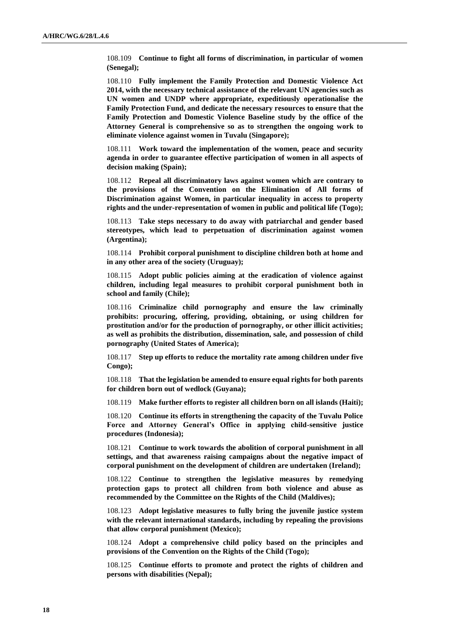108.109 **Continue to fight all forms of discrimination, in particular of women (Senegal);**

108.110 **Fully implement the Family Protection and Domestic Violence Act 2014, with the necessary technical assistance of the relevant UN agencies such as UN women and UNDP where appropriate, expeditiously operationalise the Family Protection Fund, and dedicate the necessary resources to ensure that the Family Protection and Domestic Violence Baseline study by the office of the Attorney General is comprehensive so as to strengthen the ongoing work to eliminate violence against women in Tuvalu (Singapore);**

108.111 **Work toward the implementation of the women, peace and security agenda in order to guarantee effective participation of women in all aspects of decision making (Spain);**

108.112 **Repeal all discriminatory laws against women which are contrary to the provisions of the Convention on the Elimination of All forms of Discrimination against Women, in particular inequality in access to property rights and the under-representation of women in public and political life (Togo);**

108.113 **Take steps necessary to do away with patriarchal and gender based stereotypes, which lead to perpetuation of discrimination against women (Argentina);**

108.114 **Prohibit corporal punishment to discipline children both at home and in any other area of the society (Uruguay);**

108.115 **Adopt public policies aiming at the eradication of violence against children, including legal measures to prohibit corporal punishment both in school and family (Chile);**

108.116 **Criminalize child pornography and ensure the law criminally prohibits: procuring, offering, providing, obtaining, or using children for prostitution and/or for the production of pornography, or other illicit activities; as well as prohibits the distribution, dissemination, sale, and possession of child pornography (United States of America);**

108.117 **Step up efforts to reduce the mortality rate among children under five Congo);**

108.118 **That the legislation be amended to ensure equal rights for both parents for children born out of wedlock (Guyana);**

108.119 **Make further efforts to register all children born on all islands (Haiti);**

108.120 **Continue its efforts in strengthening the capacity of the Tuvalu Police Force and Attorney General's Office in applying child-sensitive justice procedures (Indonesia);**

108.121 **Continue to work towards the abolition of corporal punishment in all settings, and that awareness raising campaigns about the negative impact of corporal punishment on the development of children are undertaken (Ireland);**

108.122 **Continue to strengthen the legislative measures by remedying protection gaps to protect all children from both violence and abuse as recommended by the Committee on the Rights of the Child (Maldives);**

108.123 **Adopt legislative measures to fully bring the juvenile justice system with the relevant international standards, including by repealing the provisions that allow corporal punishment (Mexico);**

108.124 **Adopt a comprehensive child policy based on the principles and provisions of the Convention on the Rights of the Child (Togo);**

108.125 **Continue efforts to promote and protect the rights of children and persons with disabilities (Nepal);**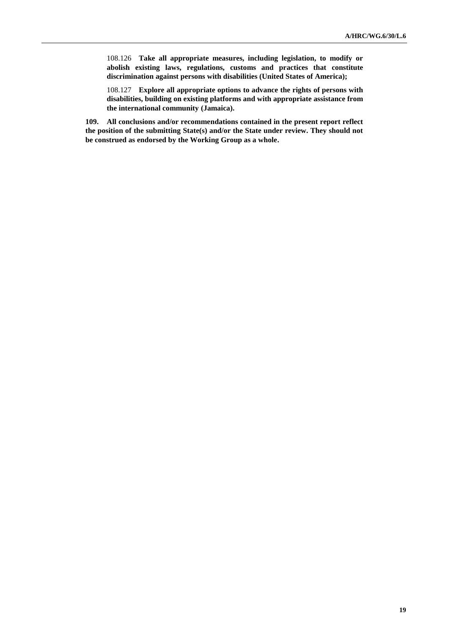108.126 **Take all appropriate measures, including legislation, to modify or abolish existing laws, regulations, customs and practices that constitute discrimination against persons with disabilities (United States of America);**

108.127 **Explore all appropriate options to advance the rights of persons with disabilities, building on existing platforms and with appropriate assistance from the international community (Jamaica).**

**109. All conclusions and/or recommendations contained in the present report reflect the position of the submitting State(s) and/or the State under review. They should not be construed as endorsed by the Working Group as a whole.**